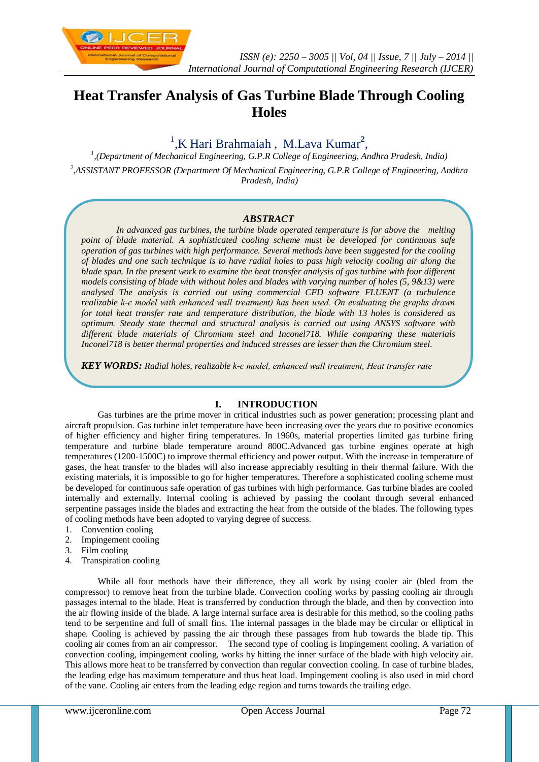

# **Heat Transfer Analysis of Gas Turbine Blade Through Cooling Holes**

# <sup>1</sup>,K Hari Brahmaiah, M.Lava Kumar<sup>2</sup>,

*1 ,(Department of Mechanical Engineering, G.P.R College of Engineering, Andhra Pradesh, India) 2 ,ASSISTANT PROFESSOR (Department Of Mechanical Engineering, G.P.R College of Engineering, Andhra* 

*Pradesh, India)*

## *ABSTRACT*

*In advanced gas turbines, the turbine blade operated temperature is for above the melting point of blade material. A sophisticated cooling scheme must be developed for continuous safe operation of gas turbines with high performance. Several methods have been suggested for the cooling of blades and one such technique is to have radial holes to pass high velocity cooling air along the blade span. In the present work to examine the heat transfer analysis of gas turbine with four different models consisting of blade with without holes and blades with varying number of holes (5, 9&13) were analysed The analysis is carried out using commercial CFD software FLUENT (a turbulence realizable k-є model with enhanced wall treatment) has been used. On evaluating the graphs drawn for total heat transfer rate and temperature distribution, the blade with 13 holes is considered as optimum. Steady state thermal and structural analysis is carried out using ANSYS software with different blade materials of Chromium steel and Inconel718. While comparing these materials Inconel718 is better thermal properties and induced stresses are lesser than the Chromium steel.*

*KEY WORDS: Radial holes, realizable k-є model, enhanced wall treatment, Heat transfer rate*

## **I. INTRODUCTION**

Gas turbines are the prime mover in critical industries such as power generation; processing plant and aircraft propulsion. Gas turbine inlet temperature have been increasing over the years due to positive economics of higher efficiency and higher firing temperatures. In 1960s, material properties limited gas turbine firing temperature and turbine blade temperature around 800C.Advanced gas turbine engines operate at high temperatures (1200-1500C) to improve thermal efficiency and power output. With the increase in temperature of gases, the heat transfer to the blades will also increase appreciably resulting in their thermal failure. With the existing materials, it is impossible to go for higher temperatures. Therefore a sophisticated cooling scheme must be developed for continuous safe operation of gas turbines with high performance. Gas turbine blades are cooled internally and externally. Internal cooling is achieved by passing the coolant through several enhanced serpentine passages inside the blades and extracting the heat from the outside of the blades. The following types of cooling methods have been adopted to varying degree of success.

- 1. Convention cooling
- 2. Impingement cooling
- 3. Film cooling
- 4. Transpiration cooling

While all four methods have their difference, they all work by using cooler air (bled from the compressor) to remove heat from the turbine blade. Convection cooling works by passing cooling air through passages internal to the blade. Heat is transferred by conduction through the blade, and then by convection into the air flowing inside of the blade. A large internal surface area is desirable for this method, so the cooling paths tend to be serpentine and full of small fins. The internal passages in the blade may be circular or elliptical in shape. Cooling is achieved by passing the air through these passages from hub towards the blade tip. This cooling air comes from an air compressor. The second type of cooling is Impingement cooling. A variation of convection cooling, impingement cooling, works by hitting the inner surface of the blade with high velocity air. This allows more heat to be transferred by convection than regular convection cooling. In case of turbine blades, the leading edge has maximum temperature and thus heat load. Impingement cooling is also used in mid chord of the vane. Cooling air enters from the leading edge region and turns towards the trailing edge.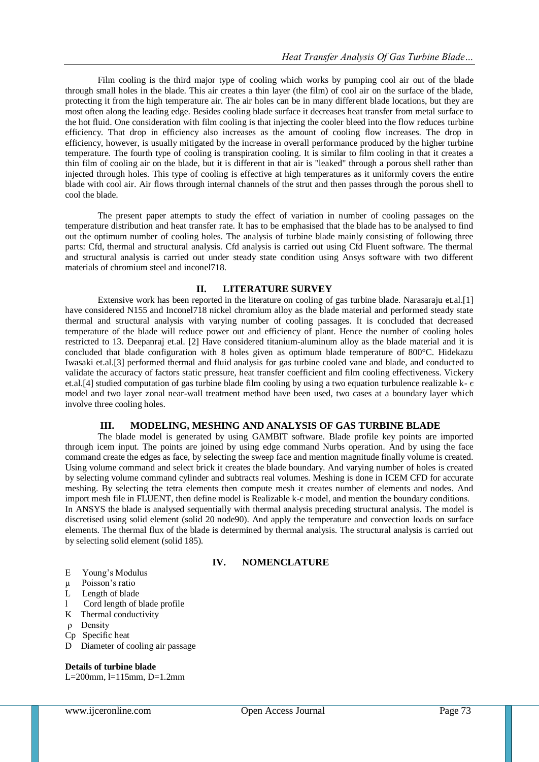Film cooling is the third major type of cooling which works by pumping cool air out of the blade through small holes in the blade. This air creates a thin layer (the film) of cool air on the surface of the blade, protecting it from the high temperature air. The air holes can be in many different blade locations, but they are most often along the leading edge. Besides cooling blade surface it decreases heat transfer from metal surface to the hot fluid. One consideration with film cooling is that injecting the cooler bleed into the flow reduces turbine efficiency. That drop in efficiency also increases as the amount of cooling flow increases. The drop in efficiency, however, is usually mitigated by the increase in overall performance produced by the higher turbine temperature. The fourth type of cooling is transpiration cooling. It is similar to film cooling in that it creates a thin film of cooling air on the blade, but it is different in that air is "leaked" through a porous shell rather than injected through holes. This type of cooling is effective at high temperatures as it uniformly covers the entire blade with cool air. Air flows through internal channels of the strut and then passes through the porous shell to cool the blade.

The present paper attempts to study the effect of variation in number of cooling passages on the temperature distribution and heat transfer rate. It has to be emphasised that the blade has to be analysed to find out the optimum number of cooling holes. The analysis of turbine blade mainly consisting of following three parts: Cfd, thermal and structural analysis. Cfd analysis is carried out using Cfd Fluent software. The thermal and structural analysis is carried out under steady state condition using Ansys software with two different materials of chromium steel and inconel718.

### **II. LITERATURE SURVEY**

Extensive work has been reported in the literature on cooling of gas turbine blade. Narasaraju et.al.[1] have considered N155 and Inconel718 nickel chromium alloy as the blade material and performed steady state thermal and structural analysis with varying number of cooling passages. It is concluded that decreased temperature of the blade will reduce power out and efficiency of plant. Hence the number of cooling holes restricted to 13. Deepanraj et.al. [2] Have considered titanium-aluminum alloy as the blade material and it is concluded that blade configuration with 8 holes given as optimum blade temperature of 800°C. Hidekazu Iwasaki et.al.[3] performed thermal and fluid analysis for gas turbine cooled vane and blade, and conducted to validate the accuracy of factors static pressure, heat transfer coefficient and film cooling effectiveness. Vickery et.al.[4] studied computation of gas turbine blade film cooling by using a two equation turbulence realizable k- є model and two layer zonal near-wall treatment method have been used, two cases at a boundary layer which involve three cooling holes.

### **III. MODELING, MESHING AND ANALYSIS OF GAS TURBINE BLADE**

The blade model is generated by using GAMBIT software. Blade profile key points are imported through icem input. The points are joined by using edge command Nurbs operation. And by using the face command create the edges as face, by selecting the sweep face and mention magnitude finally volume is created. Using volume command and select brick it creates the blade boundary. And varying number of holes is created by selecting volume command cylinder and subtracts real volumes. Meshing is done in ICEM CFD for accurate meshing. By selecting the tetra elements then compute mesh it creates number of elements and nodes. And import mesh file in FLUENT, then define model is Realizable k- $\epsilon$  model, and mention the boundary conditions. In ANSYS the blade is analysed sequentially with thermal analysis preceding structural analysis. The model is discretised using solid element (solid 20 node90). And apply the temperature and convection loads on surface elements. The thermal flux of the blade is determined by thermal analysis. The structural analysis is carried out by selecting solid element (solid 185).

## **IV. NOMENCLATURE**

- E Young's Modulus
- µ Poisson's ratio
- L Length of blade
- Cord length of blade profile
- K Thermal conductivity
- ρ Density
- Cp Specific heat
- D Diameter of cooling air passage

# **Details of turbine blade**

L=200mm, l=115mm, D=1.2mm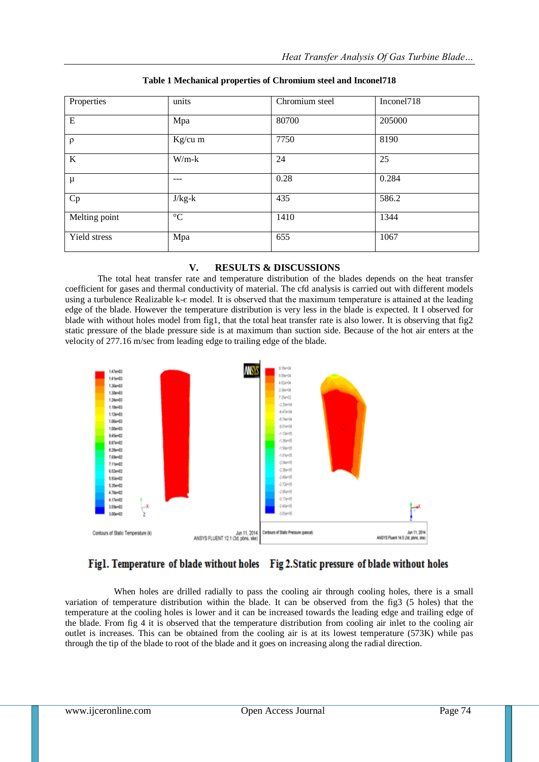| Properties    | units           | Chromium steel | Inconel718 |
|---------------|-----------------|----------------|------------|
| E             | Mpa             | 80700          | 205000     |
| $\rho$        | $Kg/cu$ m       | 7750           | 8190       |
| $\bf K$       | $W/m-k$         | 24             | 25         |
| μ             | ---             | 0.28           | 0.284      |
| Cp            | $J/kg-k$        | 435            | 586.2      |
| Melting point | $\rm ^{\circ}C$ | 1410           | 1344       |
| Yield stress  | Mpa             | 655            | 1067       |

### **Table 1 Mechanical properties of Chromium steel and Inconel718**

## **V. RESULTS & DISCUSSIONS**

The total heat transfer rate and temperature distribution of the blades depends on the heat transfer coefficient for gases and thermal conductivity of material. The cfd analysis is carried out with different models using a turbulence Realizable k-є model. It is observed that the maximum temperature is attained at the leading edge of the blade. However the temperature distribution is very less in the blade is expected. It I observed for blade with without holes model from fig1, that the total heat transfer rate is also lower. It is observing that fig2 static pressure of the blade pressure side is at maximum than suction side. Because of the hot air enters at the velocity of 277.16 m/sec from leading edge to trailing edge of the blade.



# Fig1. Temperature of blade without holes Fig 2. Static pressure of blade without holes

When holes are drilled radially to pass the cooling air through cooling holes, there is a small variation of temperature distribution within the blade. It can be observed from the fig3 (5 holes) that the temperature at the cooling holes is lower and it can be increased towards the leading edge and trailing edge of the blade. From fig 4 it is observed that the temperature distribution from cooling air inlet to the cooling air outlet is increases. This can be obtained from the cooling air is at its lowest temperature (573K) while pas through the tip of the blade to root of the blade and it goes on increasing along the radial direction.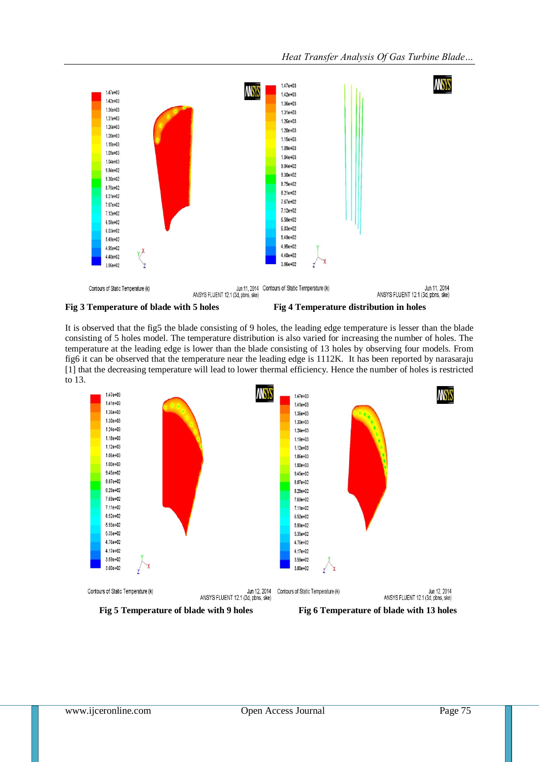



**Fig 3 Temperature of blade with 5 holes** Fig 4 Temperature distribution in holes

It is observed that the fig5 the blade consisting of 9 holes, the leading edge temperature is lesser than the blade consisting of 5 holes model. The temperature distribution is also varied for increasing the number of holes. The temperature at the leading edge is lower than the blade consisting of 13 holes by observing four models. From fig6 it can be observed that the temperature near the leading edge is 1112K. It has been reported by narasaraju [1] that the decreasing temperature will lead to lower thermal efficiency. Hence the number of holes is restricted to 13.



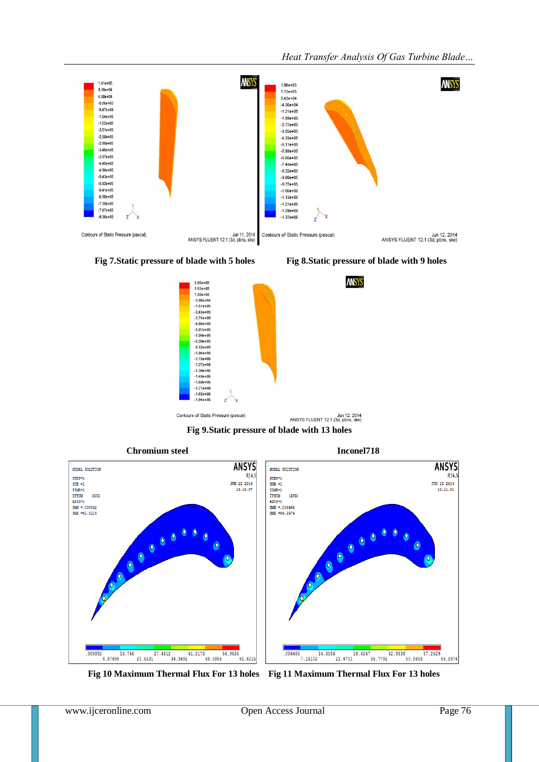





 **Fig 10 Maximum Thermal Flux For 13 holes Fig 11 Maximum Thermal Flux For 13 holes**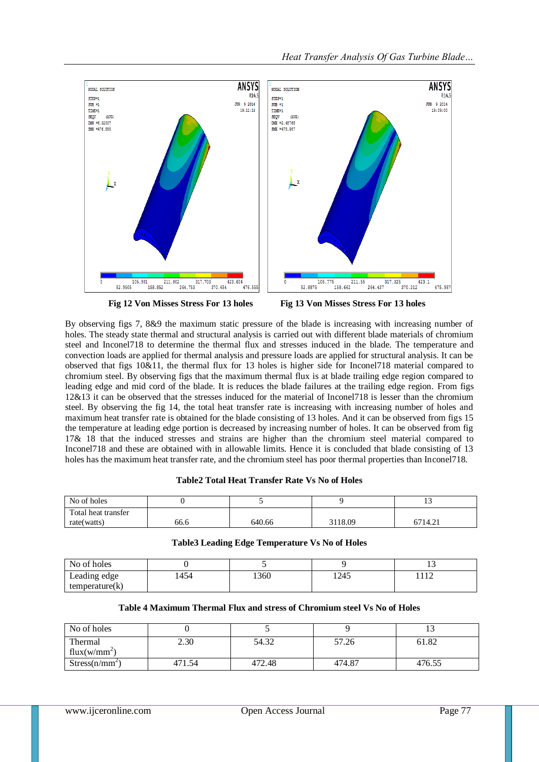

 **Fig 12 Von Misses Stress For 13 holes Fig 13 Von Misses Stress For 13 holes**

By observing figs 7, 8&9 the maximum static pressure of the blade is increasing with increasing number of holes. The steady state thermal and structural analysis is carried out with different blade materials of chromium steel and Inconel718 to determine the thermal flux and stresses induced in the blade. The temperature and convection loads are applied for thermal analysis and pressure loads are applied for structural analysis. It can be observed that figs 10&11, the thermal flux for 13 holes is higher side for Inconel718 material compared to chromium steel. By observing figs that the maximum thermal flux is at blade trailing edge region compared to leading edge and mid cord of the blade. It is reduces the blade failures at the trailing edge region. From figs 12&13 it can be observed that the stresses induced for the material of Inconel718 is lesser than the chromium steel. By observing the fig 14, the total heat transfer rate is increasing with increasing number of holes and maximum heat transfer rate is obtained for the blade consisting of 13 holes. And it can be observed from figs 15 the temperature at leading edge portion is decreased by increasing number of holes. It can be observed from fig 17& 18 that the induced stresses and strains are higher than the chromium steel material compared to Inconel718 and these are obtained with in allowable limits. Hence it is concluded that blade consisting of 13 holes has the maximum heat transfer rate, and the chromium steel has poor thermal properties than Inconel718.

#### **Table2 Total Heat Transfer Rate Vs No of Holes**

| No of holes         |      |        |         | ⊥ J     |
|---------------------|------|--------|---------|---------|
| Total heat transfer |      |        |         |         |
| rate(watts)         | 66.6 | 640.66 | 3118.09 | 6714.21 |

#### **Table3 Leading Edge Temperature Vs No of Holes**

| No of holes    |      |      |      | ن د      |
|----------------|------|------|------|----------|
| Leading edge   | 1454 | 1360 | 1245 | 110<br>. |
| temperature(k) |      |      |      |          |

### **Table 4 Maximum Thermal Flux and stress of Chromium steel Vs No of Holes**

| No of holes                 |        |        |        | ⊥ື     |
|-----------------------------|--------|--------|--------|--------|
| Thermal<br>flux( $w/mm^2$ ) | 2.30   | 54.32  | 57.26  | 61.82  |
| Stress(n/mm <sup>2</sup> )  | 471.54 | 472.48 | 474.87 | 476.55 |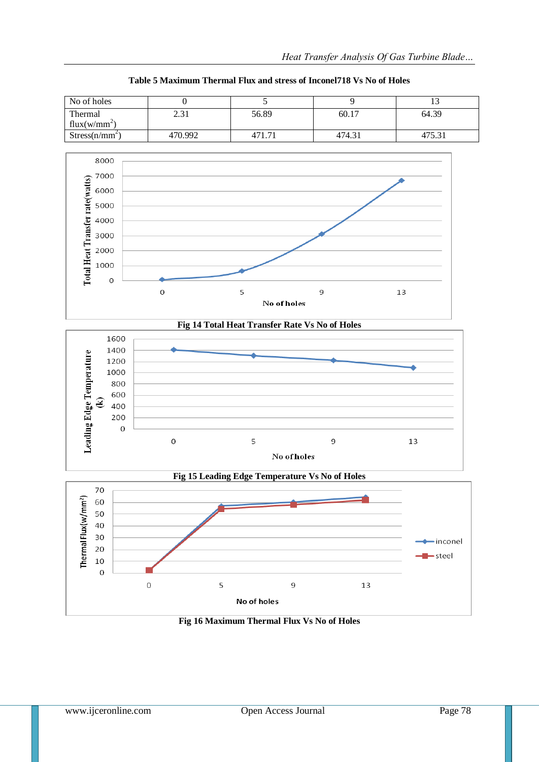| No of holes                |            |       |        |        |
|----------------------------|------------|-------|--------|--------|
| Thermal                    | າ 2<br>ا ت | 56.89 | 60.17  | 64.39  |
| flux( $w/mm^2$ )           |            |       |        |        |
| Stress(n/mm <sup>2</sup> ) | 470.992    |       | 474.31 | l75.31 |
|                            |            |       |        |        |

**Table 5 Maximum Thermal Flux and stress of Inconel718 Vs No of Holes**